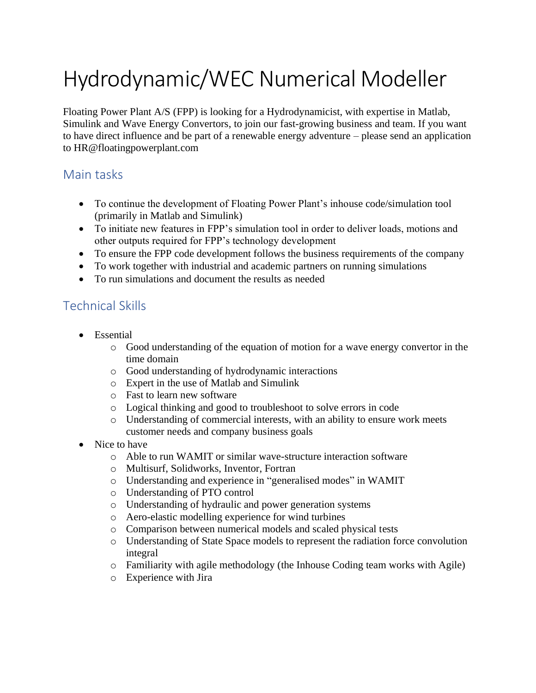# Hydrodynamic/WEC Numerical Modeller

Floating Power Plant A/S (FPP) is looking for a Hydrodynamicist, with expertise in Matlab, Simulink and Wave Energy Convertors, to join our fast-growing business and team. If you want to have direct influence and be part of a renewable energy adventure – please send an application to HR@floatingpowerplant.com

## Main tasks

- To continue the development of Floating Power Plant's inhouse code/simulation tool (primarily in Matlab and Simulink)
- To initiate new features in FPP's simulation tool in order to deliver loads, motions and other outputs required for FPP's technology development
- To ensure the FPP code development follows the business requirements of the company
- To work together with industrial and academic partners on running simulations
- To run simulations and document the results as needed

## Technical Skills

- Essential
	- o Good understanding of the equation of motion for a wave energy convertor in the time domain
	- o Good understanding of hydrodynamic interactions
	- o Expert in the use of Matlab and Simulink
	- o Fast to learn new software
	- o Logical thinking and good to troubleshoot to solve errors in code
	- o Understanding of commercial interests, with an ability to ensure work meets customer needs and company business goals
- Nice to have
	- o Able to run WAMIT or similar wave-structure interaction software
	- o Multisurf, Solidworks, Inventor, Fortran
	- o Understanding and experience in "generalised modes" in WAMIT
	- o Understanding of PTO control
	- o Understanding of hydraulic and power generation systems
	- o Aero-elastic modelling experience for wind turbines
	- o Comparison between numerical models and scaled physical tests
	- o Understanding of State Space models to represent the radiation force convolution integral
	- o Familiarity with agile methodology (the Inhouse Coding team works with Agile)
	- o Experience with Jira